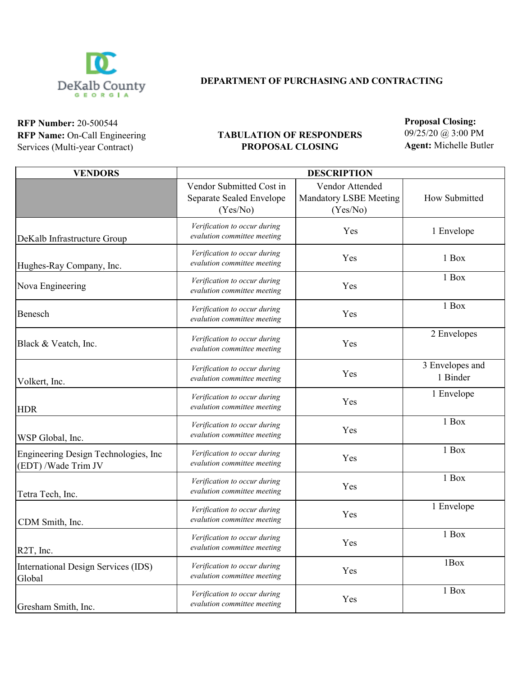

## **DEPARTMENT OF PURCHASING AND CONTRACTING**

**RFP Number:** 20-500544 **RFP Name:** On-Call Engineering Services (Multi-year Contract)

## **TABULATION OF RESPONDERS PROPOSAL CLOSING**

**Proposal Closing:**  09/25/20 @ 3:00 PM

**Agent:** Michelle Butler

| <b>VENDORS</b>                                              | <b>DESCRIPTION</b>                                               |                                                              |                             |
|-------------------------------------------------------------|------------------------------------------------------------------|--------------------------------------------------------------|-----------------------------|
|                                                             | Vendor Submitted Cost in<br>Separate Sealed Envelope<br>(Yes/No) | Vendor Attended<br><b>Mandatory LSBE Meeting</b><br>(Yes/No) | How Submitted               |
| DeKalb Infrastructure Group                                 | Verification to occur during<br>evalution committee meeting      | Yes                                                          | 1 Envelope                  |
| Hughes-Ray Company, Inc.                                    | Verification to occur during<br>evalution committee meeting      | Yes                                                          | 1 Box                       |
| Nova Engineering                                            | Verification to occur during<br>evalution committee meeting      | Yes                                                          | 1 Box                       |
| Benesch                                                     | Verification to occur during<br>evalution committee meeting      | Yes                                                          | 1 Box                       |
| Black & Veatch, Inc.                                        | Verification to occur during<br>evalution committee meeting      | Yes                                                          | 2 Envelopes                 |
| Volkert, Inc.                                               | Verification to occur during<br>evalution committee meeting      | Yes                                                          | 3 Envelopes and<br>1 Binder |
| <b>HDR</b>                                                  | Verification to occur during<br>evalution committee meeting      | Yes                                                          | 1 Envelope                  |
| WSP Global, Inc.                                            | Verification to occur during<br>evalution committee meeting      | Yes                                                          | 1 Box                       |
| Engineering Design Technologies, Inc<br>(EDT) /Wade Trim JV | Verification to occur during<br>evalution committee meeting      | Yes                                                          | 1 Box                       |
| Tetra Tech, Inc.                                            | Verification to occur during<br>evalution committee meeting      | Yes                                                          | 1 Box                       |
| CDM Smith, Inc.                                             | Verification to occur during<br>evalution committee meeting      | Yes                                                          | 1 Envelope                  |
| $\left $ R2T, Inc.                                          | Verification to occur during<br>evalution committee meeting      | Yes                                                          | 1 Box                       |
| International Design Services (IDS)<br>Global               | Verification to occur during<br>evalution committee meeting      | Yes                                                          | 1Box                        |
| Gresham Smith, Inc.                                         | Verification to occur during<br>evalution committee meeting      | Yes                                                          | 1 Box                       |